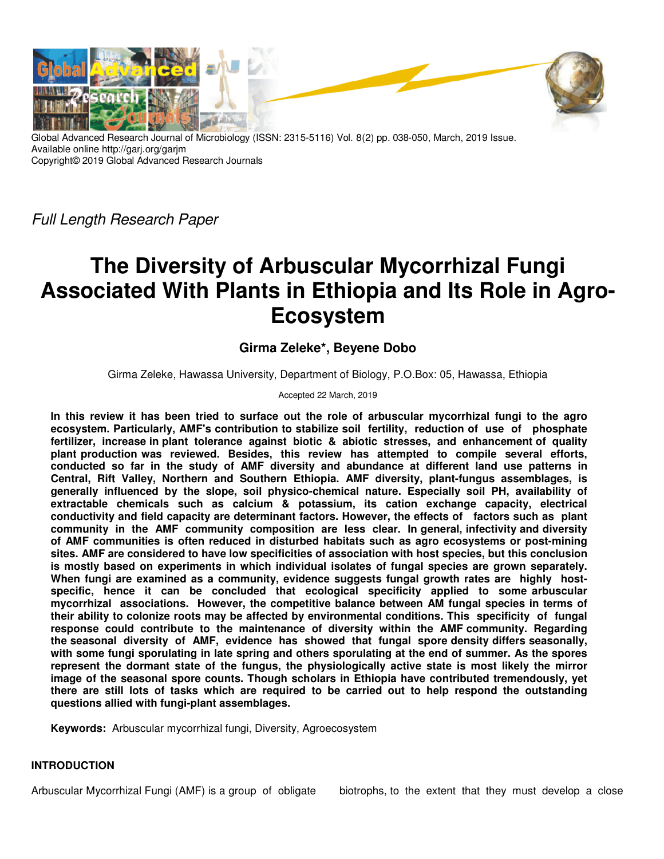

Global Advanced Research Journal of Microbiology (ISSN: 2315-5116) Vol. 8(2) pp. 038-050, March, 2019 Issue. Available online http://garj.org/garjm Copyright© 2019 Global Advanced Research Journals

Full Length Research Paper

# **The Diversity of Arbuscular Mycorrhizal Fungi Associated With Plants in Ethiopia and Its Role in Agro-Ecosystem**

## **Girma Zeleke\*, Beyene Dobo**

Girma Zeleke, Hawassa University, Department of Biology, P.O.Box: 05, Hawassa, Ethiopia

Accepted 22 March, 2019

**In this review it has been tried to surface out the role of arbuscular mycorrhizal fungi to the agro ecosystem. Particularly, AMF's contribution to stabilize soil fertility, reduction of use of phosphate fertilizer, increase in plant tolerance against biotic & abiotic stresses, and enhancement of quality plant production was reviewed. Besides, this review has attempted to compile several efforts, conducted so far in the study of AMF diversity and abundance at different land use patterns in Central, Rift Valley, Northern and Southern Ethiopia. AMF diversity, plant-fungus assemblages, is generally influenced by the slope, soil physico-chemical nature. Especially soil PH, availability of extractable chemicals such as calcium & potassium, its cation exchange capacity, electrical conductivity and field capacity are determinant factors. However, the effects of factors such as plant community in the AMF community composition are less clear. In general, infectivity and diversity of AMF communities is often reduced in disturbed habitats such as agro ecosystems or post-mining sites. AMF are considered to have low specificities of association with host species, but this conclusion is mostly based on experiments in which individual isolates of fungal species are grown separately. When fungi are examined as a community, evidence suggests fungal growth rates are highly hostspecific, hence it can be concluded that ecological specificity applied to some arbuscular mycorrhizal associations. However, the competitive balance between AM fungal species in terms of their ability to colonize roots may be affected by environmental conditions. This specificity of fungal response could contribute to the maintenance of diversity within the AMF community. Regarding the seasonal diversity of AMF, evidence has showed that fungal spore density differs seasonally, with some fungi sporulating in late spring and others sporulating at the end of summer. As the spores represent the dormant state of the fungus, the physiologically active state is most likely the mirror image of the seasonal spore counts. Though scholars in Ethiopia have contributed tremendously, yet there are still lots of tasks which are required to be carried out to help respond the outstanding questions allied with fungi-plant assemblages.** 

**Keywords:** Arbuscular mycorrhizal fungi, Diversity, Agroecosystem

#### **INTRODUCTION**

Arbuscular Mycorrhizal Fungi (AMF) is a group of obligate biotrophs, to the extent that they must develop a close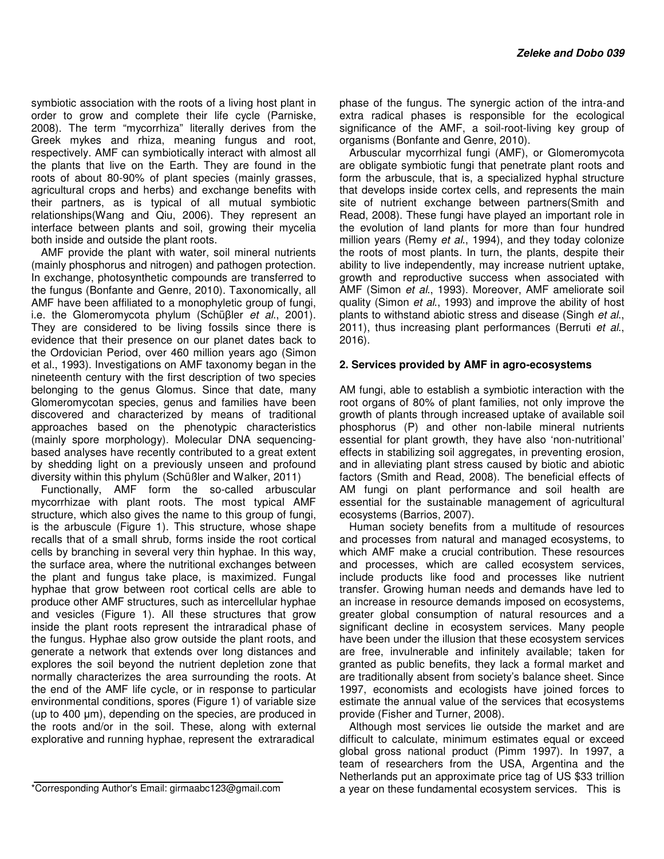symbiotic association with the roots of a living host plant in order to grow and complete their life cycle (Parniske, 2008). The term "mycorrhiza" literally derives from the Greek mykes and rhiza, meaning fungus and root, respectively. AMF can symbiotically interact with almost all the plants that live on the Earth. They are found in the roots of about 80-90% of plant species (mainly grasses, agricultural crops and herbs) and exchange benefits with their partners, as is typical of all mutual symbiotic relationships(Wang and Qiu, 2006). They represent an interface between plants and soil, growing their mycelia both inside and outside the plant roots.

AMF provide the plant with water, soil mineral nutrients (mainly phosphorus and nitrogen) and pathogen protection. In exchange, photosynthetic compounds are transferred to the fungus (Bonfante and Genre, 2010). Taxonomically, all AMF have been affiliated to a monophyletic group of fungi, i.e. the Glomeromycota phylum (Schüβler et al., 2001). They are considered to be living fossils since there is evidence that their presence on our planet dates back to the Ordovician Period, over 460 million years ago (Simon et al., 1993). Investigations on AMF taxonomy began in the nineteenth century with the first description of two species belonging to the genus Glomus. Since that date, many Glomeromycotan species, genus and families have been discovered and characterized by means of traditional approaches based on the phenotypic characteristics (mainly spore morphology). Molecular DNA sequencingbased analyses have recently contributed to a great extent by shedding light on a previously unseen and profound diversity within this phylum (Schüßler and Walker, 2011)

Functionally, AMF form the so-called arbuscular mycorrhizae with plant roots. The most typical AMF structure, which also gives the name to this group of fungi, is the arbuscule (Figure 1). This structure, whose shape recalls that of a small shrub, forms inside the root cortical cells by branching in several very thin hyphae. In this way, the surface area, where the nutritional exchanges between the plant and fungus take place, is maximized. Fungal hyphae that grow between root cortical cells are able to produce other AMF structures, such as intercellular hyphae and vesicles (Figure 1). All these structures that grow inside the plant roots represent the intraradical phase of the fungus. Hyphae also grow outside the plant roots, and generate a network that extends over long distances and explores the soil beyond the nutrient depletion zone that normally characterizes the area surrounding the roots. At the end of the AMF life cycle, or in response to particular environmental conditions, spores (Figure 1) of variable size (up to 400 µm), depending on the species, are produced in the roots and/or in the soil. These, along with external explorative and running hyphae, represent the extraradical

\*Corresponding Author's Email: girmaabc123@gmail.com

phase of the fungus. The synergic action of the intra-and extra radical phases is responsible for the ecological significance of the AMF, a soil-root-living key group of organisms (Bonfante and Genre, 2010).

Arbuscular mycorrhizal fungi (AMF), or Glomeromycota are obligate symbiotic fungi that penetrate plant roots and form the arbuscule, that is, a specialized hyphal structure that develops inside cortex cells, and represents the main site of nutrient exchange between partners(Smith and Read, 2008). These fungi have played an important role in the evolution of land plants for more than four hundred million years (Remy et al., 1994), and they today colonize the roots of most plants. In turn, the plants, despite their ability to live independently, may increase nutrient uptake, growth and reproductive success when associated with AMF (Simon et al., 1993). Moreover, AMF ameliorate soil quality (Simon et al., 1993) and improve the ability of host plants to withstand abiotic stress and disease (Singh et al., 2011), thus increasing plant performances (Berruti et al., 2016).

#### **2. Services provided by AMF in agro-ecosystems**

AM fungi, able to establish a symbiotic interaction with the root organs of 80% of plant families, not only improve the growth of plants through increased uptake of available soil phosphorus (P) and other non-labile mineral nutrients essential for plant growth, they have also 'non-nutritional' effects in stabilizing soil aggregates, in preventing erosion, and in alleviating plant stress caused by biotic and abiotic factors (Smith and Read, 2008). The beneficial effects of AM fungi on plant performance and soil health are essential for the sustainable management of agricultural ecosystems (Barrios, 2007).

Human society benefits from a multitude of resources and processes from natural and managed ecosystems, to which AMF make a crucial contribution. These resources and processes, which are called ecosystem services, include products like food and processes like nutrient transfer. Growing human needs and demands have led to an increase in resource demands imposed on ecosystems, greater global consumption of natural resources and a significant decline in ecosystem services. Many people have been under the illusion that these ecosystem services are free, invulnerable and infinitely available; taken for granted as public benefits, they lack a formal market and are traditionally absent from society's balance sheet. Since 1997, economists and ecologists have joined forces to estimate the annual value of the services that ecosystems provide (Fisher and Turner, 2008).

Although most services lie outside the market and are difficult to calculate, minimum estimates equal or exceed global gross national product (Pimm 1997). In 1997, a team of researchers from the USA, Argentina and the Netherlands put an approximate price tag of US \$33 trillion a year on these fundamental ecosystem services. This is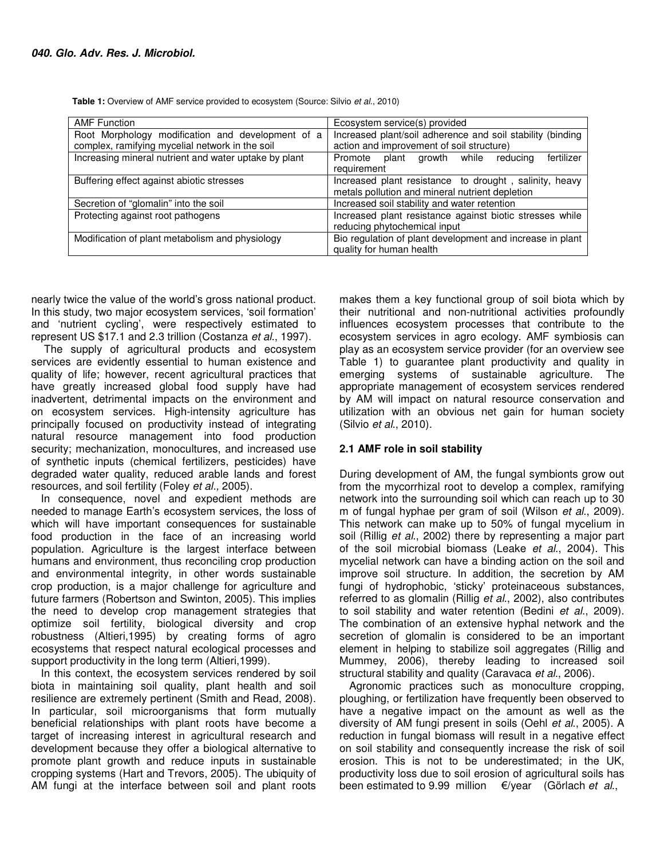Table 1: Overview of AMF service provided to ecosystem (Source: Silvio et al., 2010)

| <b>AMF Function</b>                                   | Ecosystem service(s) provided                                                                             |
|-------------------------------------------------------|-----------------------------------------------------------------------------------------------------------|
| Root Morphology modification and development of a     | Increased plant/soil adherence and soil stability (binding                                                |
| complex, ramifying mycelial network in the soil       | action and improvement of soil structure)                                                                 |
| Increasing mineral nutrient and water uptake by plant | fertilizer<br>Promote plant growth while reducing<br>requirement                                          |
| Buffering effect against abiotic stresses             | Increased plant resistance to drought, salinity, heavy<br>metals pollution and mineral nutrient depletion |
| Secretion of "glomalin" into the soil                 | Increased soil stability and water retention                                                              |
| Protecting against root pathogens                     | Increased plant resistance against biotic stresses while<br>reducing phytochemical input                  |
| Modification of plant metabolism and physiology       | Bio regulation of plant development and increase in plant<br>quality for human health                     |

nearly twice the value of the world's gross national product. In this study, two major ecosystem services, 'soil formation' and 'nutrient cycling', were respectively estimated to represent US \$17.1 and 2.3 trillion (Costanza et al., 1997).

 The supply of agricultural products and ecosystem services are evidently essential to human existence and quality of life; however, recent agricultural practices that have greatly increased global food supply have had inadvertent, detrimental impacts on the environment and on ecosystem services. High-intensity agriculture has principally focused on productivity instead of integrating natural resource management into food production security; mechanization, monocultures, and increased use of synthetic inputs (chemical fertilizers, pesticides) have degraded water quality, reduced arable lands and forest resources, and soil fertility (Foley et al., 2005).

In consequence, novel and expedient methods are needed to manage Earth's ecosystem services, the loss of which will have important consequences for sustainable food production in the face of an increasing world population. Agriculture is the largest interface between humans and environment, thus reconciling crop production and environmental integrity, in other words sustainable crop production, is a major challenge for agriculture and future farmers (Robertson and Swinton, 2005). This implies the need to develop crop management strategies that optimize soil fertility, biological diversity and crop robustness (Altieri,1995) by creating forms of agro ecosystems that respect natural ecological processes and support productivity in the long term (Altieri,1999).

In this context, the ecosystem services rendered by soil biota in maintaining soil quality, plant health and soil resilience are extremely pertinent (Smith and Read, 2008). In particular, soil microorganisms that form mutually beneficial relationships with plant roots have become a target of increasing interest in agricultural research and development because they offer a biological alternative to promote plant growth and reduce inputs in sustainable cropping systems (Hart and Trevors, 2005). The ubiquity of AM fungi at the interface between soil and plant roots makes them a key functional group of soil biota which by their nutritional and non-nutritional activities profoundly influences ecosystem processes that contribute to the ecosystem services in agro ecology. AMF symbiosis can play as an ecosystem service provider (for an overview see Table 1) to guarantee plant productivity and quality in emerging systems of sustainable agriculture. The appropriate management of ecosystem services rendered by AM will impact on natural resource conservation and utilization with an obvious net gain for human society (Silvio et al., 2010).

#### **2.1 AMF role in soil stability**

During development of AM, the fungal symbionts grow out from the mycorrhizal root to develop a complex, ramifying network into the surrounding soil which can reach up to 30 m of fungal hyphae per gram of soil (Wilson et al., 2009). This network can make up to 50% of fungal mycelium in soil (Rillig et al., 2002) there by representing a major part of the soil microbial biomass (Leake et al., 2004). This mycelial network can have a binding action on the soil and improve soil structure. In addition, the secretion by AM fungi of hydrophobic, 'sticky' proteinaceous substances, referred to as glomalin (Rillig et al., 2002), also contributes to soil stability and water retention (Bedini et al., 2009). The combination of an extensive hyphal network and the secretion of glomalin is considered to be an important element in helping to stabilize soil aggregates (Rillig and Mummey, 2006), thereby leading to increased soil structural stability and quality (Caravaca et al., 2006).

Agronomic practices such as monoculture cropping, ploughing, or fertilization have frequently been observed to have a negative impact on the amount as well as the diversity of AM fungi present in soils (Oehl et al., 2005). A reduction in fungal biomass will result in a negative effect on soil stability and consequently increase the risk of soil erosion. This is not to be underestimated; in the UK, productivity loss due to soil erosion of agricultural soils has been estimated to 9.99 million  $\epsilon$ /year (Görlach et al.,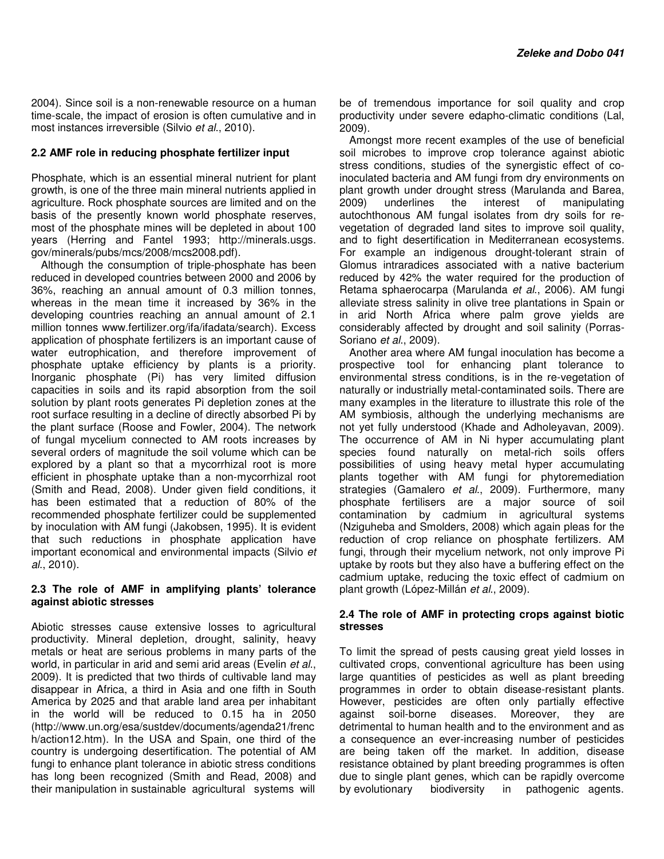2004). Since soil is a non-renewable resource on a human time-scale, the impact of erosion is often cumulative and in most instances irreversible (Silvio et al., 2010).

#### **2.2 AMF role in reducing phosphate fertilizer input**

Phosphate, which is an essential mineral nutrient for plant growth, is one of the three main mineral nutrients applied in agriculture. Rock phosphate sources are limited and on the basis of the presently known world phosphate reserves, most of the phosphate mines will be depleted in about 100 years (Herring and Fantel 1993; http://minerals.usgs. gov/minerals/pubs/mcs/2008/mcs2008.pdf).

Although the consumption of triple-phosphate has been reduced in developed countries between 2000 and 2006 by 36%, reaching an annual amount of 0.3 million tonnes, whereas in the mean time it increased by 36% in the developing countries reaching an annual amount of 2.1 million tonnes www.fertilizer.org/ifa/ifadata/search). Excess application of phosphate fertilizers is an important cause of water eutrophication, and therefore improvement of phosphate uptake efficiency by plants is a priority. Inorganic phosphate (Pi) has very limited diffusion capacities in soils and its rapid absorption from the soil solution by plant roots generates Pi depletion zones at the root surface resulting in a decline of directly absorbed Pi by the plant surface (Roose and Fowler, 2004). The network of fungal mycelium connected to AM roots increases by several orders of magnitude the soil volume which can be explored by a plant so that a mycorrhizal root is more efficient in phosphate uptake than a non-mycorrhizal root (Smith and Read, 2008). Under given field conditions, it has been estimated that a reduction of 80% of the recommended phosphate fertilizer could be supplemented by inoculation with AM fungi (Jakobsen, 1995). It is evident that such reductions in phosphate application have important economical and environmental impacts (Silvio et al., 2010).

#### **2.3 The role of AMF in amplifying plants' tolerance against abiotic stresses**

Abiotic stresses cause extensive losses to agricultural productivity. Mineral depletion, drought, salinity, heavy metals or heat are serious problems in many parts of the world, in particular in arid and semi arid areas (Evelin et al., 2009). It is predicted that two thirds of cultivable land may disappear in Africa, a third in Asia and one fifth in South America by 2025 and that arable land area per inhabitant in the world will be reduced to 0.15 ha in 2050 (http://www.un.org/esa/sustdev/documents/agenda21/frenc h/action12.htm). In the USA and Spain, one third of the country is undergoing desertification. The potential of AM fungi to enhance plant tolerance in abiotic stress conditions has long been recognized (Smith and Read, 2008) and their manipulation in sustainable agricultural systems will

be of tremendous importance for soil quality and crop productivity under severe edapho-climatic conditions (Lal, 2009).

Amongst more recent examples of the use of beneficial soil microbes to improve crop tolerance against abiotic stress conditions, studies of the synergistic effect of coinoculated bacteria and AM fungi from dry environments on plant growth under drought stress (Marulanda and Barea, 2009) underlines the interest of manipulating autochthonous AM fungal isolates from dry soils for revegetation of degraded land sites to improve soil quality, and to fight desertification in Mediterranean ecosystems. For example an indigenous drought-tolerant strain of Glomus intraradices associated with a native bacterium reduced by 42% the water required for the production of Retama sphaerocarpa (Marulanda et al., 2006). AM fungi alleviate stress salinity in olive tree plantations in Spain or in arid North Africa where palm grove yields are considerably affected by drought and soil salinity (Porras-Soriano et al., 2009).

Another area where AM fungal inoculation has become a prospective tool for enhancing plant tolerance to environmental stress conditions, is in the re-vegetation of naturally or industrially metal-contaminated soils. There are many examples in the literature to illustrate this role of the AM symbiosis, although the underlying mechanisms are not yet fully understood (Khade and Adholeyavan, 2009). The occurrence of AM in Ni hyper accumulating plant species found naturally on metal-rich soils offers possibilities of using heavy metal hyper accumulating plants together with AM fungi for phytoremediation strategies (Gamalero et al., 2009). Furthermore, many phosphate fertilisers are a major source of soil contamination by cadmium in agricultural systems (Nziguheba and Smolders, 2008) which again pleas for the reduction of crop reliance on phosphate fertilizers. AM fungi, through their mycelium network, not only improve Pi uptake by roots but they also have a buffering effect on the cadmium uptake, reducing the toxic effect of cadmium on plant growth (López-Millán et al., 2009).

#### **2.4 The role of AMF in protecting crops against biotic stresses**

To limit the spread of pests causing great yield losses in cultivated crops, conventional agriculture has been using large quantities of pesticides as well as plant breeding programmes in order to obtain disease-resistant plants. However, pesticides are often only partially effective against soil-borne diseases. Moreover, they are detrimental to human health and to the environment and as a consequence an ever-increasing number of pesticides are being taken off the market. In addition, disease resistance obtained by plant breeding programmes is often due to single plant genes, which can be rapidly overcome by evolutionary biodiversity in pathogenic agents.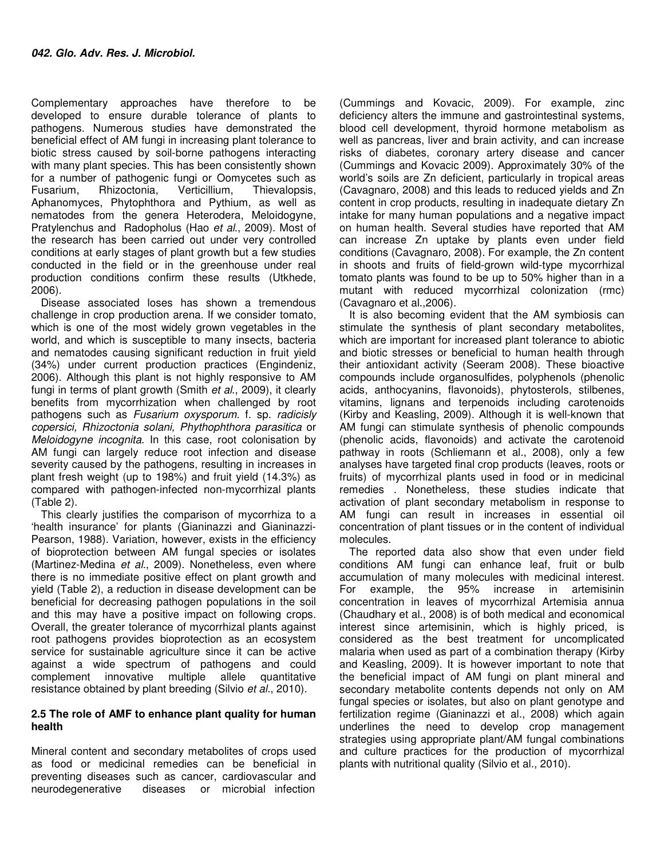Complementary approaches have therefore to be developed to ensure durable tolerance of plants to pathogens. Numerous studies have demonstrated the beneficial effect of AM fungi in increasing plant tolerance to biotic stress caused by soil-borne pathogens interacting with many plant species. This has been consistently shown for a number of pathogenic fungi or Oomycetes such as Fusarium, Rhizoctonia, Verticillium, Thievalopsis, Aphanomyces, Phytophthora and Pythium, as well as nematodes from the genera Heterodera, Meloidogyne, Pratylenchus and Radopholus (Hao et al., 2009). Most of the research has been carried out under very controlled conditions at early stages of plant growth but a few studies conducted in the field or in the greenhouse under real production conditions confirm these results (Utkhede, 2006).

Disease associated loses has shown a tremendous challenge in crop production arena. If we consider tomato, which is one of the most widely grown vegetables in the world, and which is susceptible to many insects, bacteria and nematodes causing significant reduction in fruit yield (34%) under current production practices (Engindeniz, 2006). Although this plant is not highly responsive to AM fungi in terms of plant growth (Smith et al., 2009), it clearly benefits from mycorrhization when challenged by root pathogens such as Fusarium oxysporum. f. sp. radicisly copersici, Rhizoctonia solani, Phythophthora parasitica or Meloidogyne incognita. In this case, root colonisation by AM fungi can largely reduce root infection and disease severity caused by the pathogens, resulting in increases in plant fresh weight (up to 198%) and fruit yield (14.3%) as compared with pathogen-infected non-mycorrhizal plants (Table 2).

This clearly justifies the comparison of mycorrhiza to a 'health insurance' for plants (Gianinazzi and Gianinazzi-Pearson, 1988). Variation, however, exists in the efficiency of bioprotection between AM fungal species or isolates (Martinez-Medina et al., 2009). Nonetheless, even where there is no immediate positive effect on plant growth and yield (Table 2), a reduction in disease development can be beneficial for decreasing pathogen populations in the soil and this may have a positive impact on following crops. Overall, the greater tolerance of mycorrhizal plants against root pathogens provides bioprotection as an ecosystem service for sustainable agriculture since it can be active against a wide spectrum of pathogens and could complement innovative multiple allele quantitative resistance obtained by plant breeding (Silvio et al., 2010).

#### **2.5 The role of AMF to enhance plant quality for human health**

Mineral content and secondary metabolites of crops used as food or medicinal remedies can be beneficial in preventing diseases such as cancer, cardiovascular and neurodegenerative diseases or microbial infection

(Cummings and Kovacic, 2009). For example, zinc deficiency alters the immune and gastrointestinal systems, blood cell development, thyroid hormone metabolism as well as pancreas, liver and brain activity, and can increase risks of diabetes, coronary artery disease and cancer (Cummings and Kovacic 2009). Approximately 30% of the world's soils are Zn deficient, particularly in tropical areas (Cavagnaro, 2008) and this leads to reduced yields and Zn content in crop products, resulting in inadequate dietary Zn intake for many human populations and a negative impact on human health. Several studies have reported that AM can increase Zn uptake by plants even under field conditions (Cavagnaro, 2008). For example, the Zn content in shoots and fruits of field-grown wild-type mycorrhizal tomato plants was found to be up to 50% higher than in a mutant with reduced mycorrhizal colonization (rmc) (Cavagnaro et al.,2006).

It is also becoming evident that the AM symbiosis can stimulate the synthesis of plant secondary metabolites, which are important for increased plant tolerance to abiotic and biotic stresses or beneficial to human health through their antioxidant activity (Seeram 2008). These bioactive compounds include organosulfides, polyphenols (phenolic acids, anthocyanins, flavonoids), phytosterols, stilbenes, vitamins, lignans and terpenoids including carotenoids (Kirby and Keasling, 2009). Although it is well-known that AM fungi can stimulate synthesis of phenolic compounds (phenolic acids, flavonoids) and activate the carotenoid pathway in roots (Schliemann et al., 2008), only a few analyses have targeted final crop products (leaves, roots or fruits) of mycorrhizal plants used in food or in medicinal remedies . Nonetheless, these studies indicate that activation of plant secondary metabolism in response to AM fungi can result in increases in essential oil concentration of plant tissues or in the content of individual molecules.

The reported data also show that even under field conditions AM fungi can enhance leaf, fruit or bulb accumulation of many molecules with medicinal interest. For example, the 95% increase in artemisinin concentration in leaves of mycorrhizal Artemisia annua (Chaudhary et al., 2008) is of both medical and economical interest since artemisinin, which is highly priced, is considered as the best treatment for uncomplicated malaria when used as part of a combination therapy (Kirby and Keasling, 2009). It is however important to note that the beneficial impact of AM fungi on plant mineral and secondary metabolite contents depends not only on AM fungal species or isolates, but also on plant genotype and fertilization regime (Gianinazzi et al., 2008) which again underlines the need to develop crop management strategies using appropriate plant/AM fungal combinations and culture practices for the production of mycorrhizal plants with nutritional quality (Silvio et al., 2010).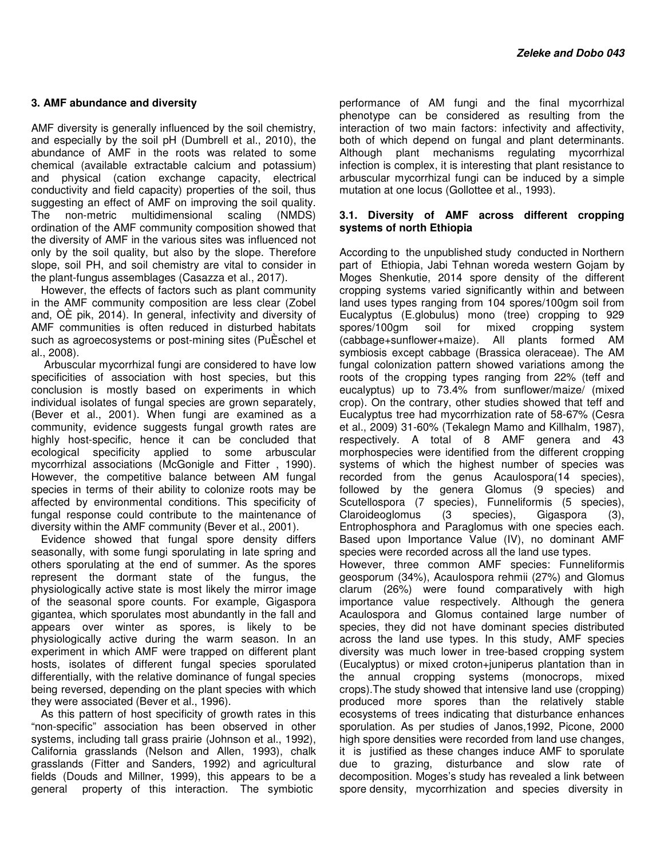#### **3. AMF abundance and diversity**

AMF diversity is generally influenced by the soil chemistry, and especially by the soil pH (Dumbrell et al., 2010), the abundance of AMF in the roots was related to some chemical (available extractable calcium and potassium) and physical (cation exchange capacity, electrical conductivity and field capacity) properties of the soil, thus suggesting an effect of AMF on improving the soil quality. The non-metric multidimensional scaling (NMDS) ordination of the AMF community composition showed that the diversity of AMF in the various sites was influenced not only by the soil quality, but also by the slope. Therefore slope, soil PH, and soil chemistry are vital to consider in the plant-fungus assemblages (Casazza et al., 2017).

However, the effects of factors such as plant community in the AMF community composition are less clear (Zobel and, OÈ pik, 2014). In general, infectivity and diversity of AMF communities is often reduced in disturbed habitats such as agroecosystems or post-mining sites (PuÈschel et al., 2008).

 Arbuscular mycorrhizal fungi are considered to have low specificities of association with host species, but this conclusion is mostly based on experiments in which individual isolates of fungal species are grown separately, (Bever et al., 2001). When fungi are examined as a community, evidence suggests fungal growth rates are highly host-specific, hence it can be concluded that ecological specificity applied to some arbuscular mycorrhizal associations (McGonigle and Fitter , 1990). However, the competitive balance between AM fungal species in terms of their ability to colonize roots may be affected by environmental conditions. This specificity of fungal response could contribute to the maintenance of diversity within the AMF community (Bever et al., 2001).

Evidence showed that fungal spore density differs seasonally, with some fungi sporulating in late spring and others sporulating at the end of summer. As the spores represent the dormant state of the fungus, the physiologically active state is most likely the mirror image of the seasonal spore counts. For example, Gigaspora gigantea, which sporulates most abundantly in the fall and appears over winter as spores, is likely to be physiologically active during the warm season. In an experiment in which AMF were trapped on different plant hosts, isolates of different fungal species sporulated differentially, with the relative dominance of fungal species being reversed, depending on the plant species with which they were associated (Bever et al., 1996).

As this pattern of host specificity of growth rates in this "non-specific" association has been observed in other systems, including tall grass prairie (Johnson et al., 1992), California grasslands (Nelson and Allen, 1993), chalk grasslands (Fitter and Sanders, 1992) and agricultural fields (Douds and Millner, 1999), this appears to be a general property of this interaction. The symbiotic

performance of AM fungi and the final mycorrhizal phenotype can be considered as resulting from the interaction of two main factors: infectivity and affectivity, both of which depend on fungal and plant determinants. Although plant mechanisms regulating mycorrhizal infection is complex, it is interesting that plant resistance to arbuscular mycorrhizal fungi can be induced by a simple mutation at one locus (Gollottee et al., 1993).

#### **3.1. Diversity of AMF across different cropping systems of north Ethiopia**

According to the unpublished study conducted in Northern part of Ethiopia, Jabi Tehnan woreda western Gojam by Moges Shenkutie, 2014 spore density of the different cropping systems varied significantly within and between land uses types ranging from 104 spores/100gm soil from Eucalyptus (E.globulus) mono (tree) cropping to 929 spores/100gm soil for mixed cropping system (cabbage+sunflower+maize). All plants formed AM symbiosis except cabbage (Brassica oleraceae). The AM fungal colonization pattern showed variations among the roots of the cropping types ranging from 22% (teff and eucalyptus) up to 73.4% from sunflower/maize/ (mixed crop). On the contrary, other studies showed that teff and Eucalyptus tree had mycorrhization rate of 58-67% (Cesra et al., 2009) 31-60% (Tekalegn Mamo and Killhalm, 1987), respectively. A total of 8 AMF genera and 43 morphospecies were identified from the different cropping systems of which the highest number of species was recorded from the genus Acaulospora(14 species), followed by the genera Glomus (9 species) and Scutellospora (7 species), Funneliformis (5 species), Claroideoglomus (3 species), Gigaspora (3), Entrophosphora and Paraglomus with one species each. Based upon Importance Value (IV), no dominant AMF species were recorded across all the land use types. However, three common AMF species: Funneliformis geosporum (34%), Acaulospora rehmii (27%) and Glomus clarum (26%) were found comparatively with high importance value respectively. Although the genera Acaulospora and Glomus contained large number of species, they did not have dominant species distributed across the land use types. In this study, AMF species diversity was much lower in tree-based cropping system (Eucalyptus) or mixed croton+juniperus plantation than in the annual cropping systems (monocrops, mixed crops).The study showed that intensive land use (cropping) produced more spores than the relatively stable ecosystems of trees indicating that disturbance enhances sporulation. As per studies of Janos,1992, Picone, 2000 high spore densities were recorded from land use changes, it is justified as these changes induce AMF to sporulate due to grazing, disturbance and slow rate of decomposition. Moges's study has revealed a link between spore density, mycorrhization and species diversity in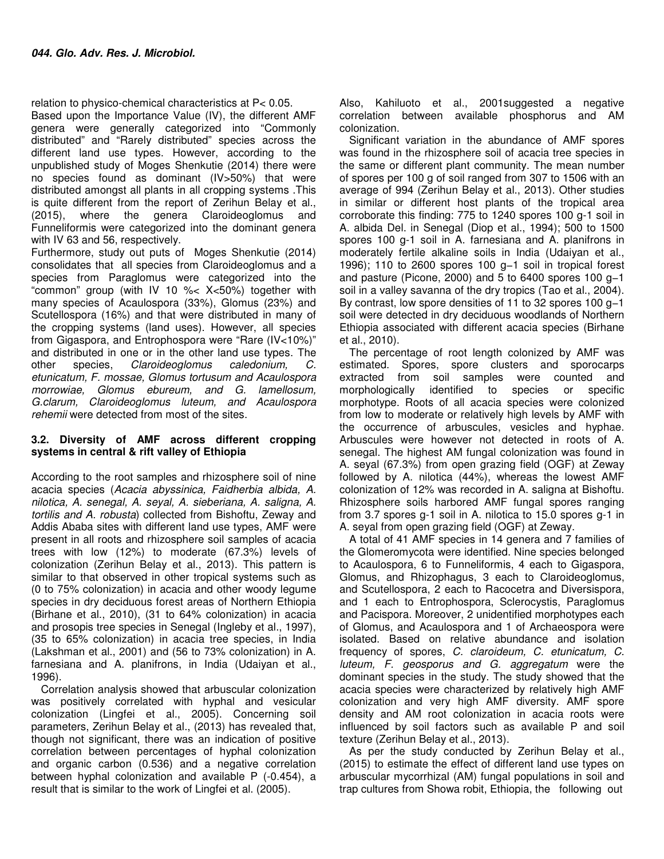relation to physico-chemical characteristics at P< 0.05.

Based upon the Importance Value (IV), the different AMF genera were generally categorized into "Commonly distributed" and "Rarely distributed" species across the different land use types. However, according to the unpublished study of Moges Shenkutie (2014) there were no species found as dominant (IV>50%) that were distributed amongst all plants in all cropping systems .This is quite different from the report of Zerihun Belay et al., (2015), where the genera Claroideoglomus and Funneliformis were categorized into the dominant genera with IV 63 and 56, respectively.

Furthermore, study out puts of Moges Shenkutie (2014) consolidates that all species from Claroideoglomus and a species from Paraglomus were categorized into the "common" group (with IV 10 %< X<50%) together with many species of Acaulospora (33%), Glomus (23%) and Scutellospora (16%) and that were distributed in many of the cropping systems (land uses). However, all species from Gigaspora, and Entrophospora were "Rare (IV<10%)" and distributed in one or in the other land use types. The other species, Claroideoglomus caledonium, C. etunicatum, F. mossae, Glomus tortusum and Acaulospora morrowiae, Glomus ebureum, and G. lamellosum, G.clarum, Claroideoglomus luteum, and Acaulospora rehemii were detected from most of the sites.

#### **3.2. Diversity of AMF across different cropping systems in central & rift valley of Ethiopia**

According to the root samples and rhizosphere soil of nine acacia species (Acacia abyssinica, Faidherbia albida, A. nilotica, A. senegal, A. seyal, A. sieberiana, A. saligna, A. tortilis and A. robusta) collected from Bishoftu, Zeway and Addis Ababa sites with different land use types, AMF were present in all roots and rhizosphere soil samples of acacia trees with low (12%) to moderate (67.3%) levels of colonization (Zerihun Belay et al., 2013). This pattern is similar to that observed in other tropical systems such as (0 to 75% colonization) in acacia and other woody legume species in dry deciduous forest areas of Northern Ethiopia (Birhane et al., 2010), (31 to 64% colonization) in acacia and prosopis tree species in Senegal (Ingleby et al., 1997), (35 to 65% colonization) in acacia tree species, in India (Lakshman et al., 2001) and (56 to 73% colonization) in A. farnesiana and A. planifrons, in India (Udaiyan et al., 1996).

Correlation analysis showed that arbuscular colonization was positively correlated with hyphal and vesicular colonization (Lingfei et al., 2005). Concerning soil parameters, Zerihun Belay et al., (2013) has revealed that, though not significant, there was an indication of positive correlation between percentages of hyphal colonization and organic carbon (0.536) and a negative correlation between hyphal colonization and available P (-0.454), a result that is similar to the work of Lingfei et al. (2005).

Also, Kahiluoto et al., 2001suggested a negative correlation between available phosphorus and AM colonization.

Significant variation in the abundance of AMF spores was found in the rhizosphere soil of acacia tree species in the same or different plant community. The mean number of spores per 100 g of soil ranged from 307 to 1506 with an average of 994 (Zerihun Belay et al., 2013). Other studies in similar or different host plants of the tropical area corroborate this finding: 775 to 1240 spores 100 g-1 soil in A. albida Del. in Senegal (Diop et al., 1994); 500 to 1500 spores 100 g-1 soil in A. farnesiana and A. planifrons in moderately fertile alkaline soils in India (Udaiyan et al., 1996); 110 to 2600 spores 100 g−1 soil in tropical forest and pasture (Picone, 2000) and 5 to 6400 spores 100 g−1 soil in a valley savanna of the dry tropics (Tao et al., 2004). By contrast, low spore densities of 11 to 32 spores 100 g−1 soil were detected in dry deciduous woodlands of Northern Ethiopia associated with different acacia species (Birhane et al., 2010).

The percentage of root length colonized by AMF was estimated. Spores, spore clusters and sporocarps extracted from soil samples were counted and morphologically identified to species or specific morphotype. Roots of all acacia species were colonized from low to moderate or relatively high levels by AMF with the occurrence of arbuscules, vesicles and hyphae. Arbuscules were however not detected in roots of A. senegal. The highest AM fungal colonization was found in A. seyal (67.3%) from open grazing field (OGF) at Zeway followed by A. nilotica (44%), whereas the lowest AMF colonization of 12% was recorded in A. saligna at Bishoftu. Rhizosphere soils harbored AMF fungal spores ranging from 3.7 spores g-1 soil in A. nilotica to 15.0 spores g-1 in A. seyal from open grazing field (OGF) at Zeway.

A total of 41 AMF species in 14 genera and 7 families of the Glomeromycota were identified. Nine species belonged to Acaulospora, 6 to Funneliformis, 4 each to Gigaspora, Glomus, and Rhizophagus, 3 each to Claroideoglomus, and Scutellospora, 2 each to Racocetra and Diversispora, and 1 each to Entrophospora, Sclerocystis, Paraglomus and Pacispora. Moreover, 2 unidentified morphotypes each of Glomus, and Acaulospora and 1 of Archaeospora were isolated. Based on relative abundance and isolation frequency of spores, C. claroideum, C. etunicatum, C. luteum, F. geosporus and G. aggregatum were the dominant species in the study. The study showed that the acacia species were characterized by relatively high AMF colonization and very high AMF diversity. AMF spore density and AM root colonization in acacia roots were influenced by soil factors such as available P and soil texture (Zerihun Belay et al., 2013).

As per the study conducted by Zerihun Belay et al., (2015) to estimate the effect of different land use types on arbuscular mycorrhizal (AM) fungal populations in soil and trap cultures from Showa robit, Ethiopia, the following out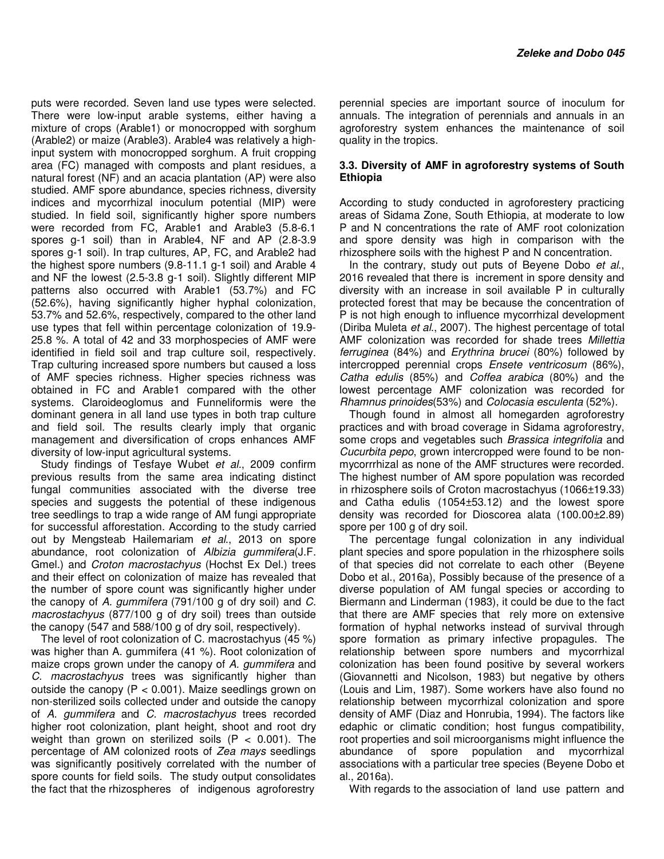puts were recorded. Seven land use types were selected. There were low-input arable systems, either having a mixture of crops (Arable1) or monocropped with sorghum (Arable2) or maize (Arable3). Arable4 was relatively a highinput system with monocropped sorghum. A fruit cropping area (FC) managed with composts and plant residues, a natural forest (NF) and an acacia plantation (AP) were also studied. AMF spore abundance, species richness, diversity indices and mycorrhizal inoculum potential (MIP) were studied. In field soil, significantly higher spore numbers were recorded from FC, Arable1 and Arable3 (5.8-6.1 spores g-1 soil) than in Arable4, NF and AP (2.8-3.9 spores g-1 soil). In trap cultures, AP, FC, and Arable2 had the highest spore numbers (9.8-11.1 g-1 soil) and Arable 4 and NF the lowest (2.5-3.8 g-1 soil). Slightly different MIP patterns also occurred with Arable1 (53.7%) and FC (52.6%), having significantly higher hyphal colonization, 53.7% and 52.6%, respectively, compared to the other land use types that fell within percentage colonization of 19.9- 25.8 %. A total of 42 and 33 morphospecies of AMF were identified in field soil and trap culture soil, respectively. Trap culturing increased spore numbers but caused a loss of AMF species richness. Higher species richness was obtained in FC and Arable1 compared with the other systems. Claroideoglomus and Funneliformis were the dominant genera in all land use types in both trap culture and field soil. The results clearly imply that organic management and diversification of crops enhances AMF diversity of low-input agricultural systems.

Study findings of Tesfaye Wubet et al., 2009 confirm previous results from the same area indicating distinct fungal communities associated with the diverse tree species and suggests the potential of these indigenous tree seedlings to trap a wide range of AM fungi appropriate for successful afforestation. According to the study carried out by Mengsteab Hailemariam et al., 2013 on spore abundance, root colonization of Albizia gummifera(J.F. Gmel.) and Croton macrostachyus (Hochst Ex Del.) trees and their effect on colonization of maize has revealed that the number of spore count was significantly higher under the canopy of A. gummifera (791/100 g of dry soil) and C. macrostachyus (877/100 g of dry soil) trees than outside the canopy (547 and 588/100 g of dry soil, respectively).

The level of root colonization of C. macrostachyus (45 %) was higher than A. gummifera (41 %). Root colonization of maize crops grown under the canopy of A. *gummifera* and C. macrostachyus trees was significantly higher than outside the canopy ( $P < 0.001$ ). Maize seedlings grown on non-sterilized soils collected under and outside the canopy of A. gummifera and C. macrostachyus trees recorded higher root colonization, plant height, shoot and root dry weight than grown on sterilized soils  $(P < 0.001)$ . The percentage of AM colonized roots of Zea mays seedlings was significantly positively correlated with the number of spore counts for field soils. The study output consolidates the fact that the rhizospheres of indigenous agroforestry

perennial species are important source of inoculum for annuals. The integration of perennials and annuals in an agroforestry system enhances the maintenance of soil quality in the tropics.

#### **3.3. Diversity of AMF in agroforestry systems of South Ethiopia**

According to study conducted in agroforestery practicing areas of Sidama Zone, South Ethiopia, at moderate to low P and N concentrations the rate of AMF root colonization and spore density was high in comparison with the rhizosphere soils with the highest P and N concentration.

In the contrary, study out puts of Beyene Dobo et al., 2016 revealed that there is increment in spore density and diversity with an increase in soil available P in culturally protected forest that may be because the concentration of P is not high enough to influence mycorrhizal development (Diriba Muleta et al., 2007). The highest percentage of total AMF colonization was recorded for shade trees Millettia ferruginea (84%) and Erythrina brucei (80%) followed by intercropped perennial crops Ensete ventricosum (86%), Catha edulis (85%) and Coffea arabica (80%) and the lowest percentage AMF colonization was recorded for Rhamnus prinoides(53%) and Colocasia esculenta (52%).

Though found in almost all homegarden agroforestry practices and with broad coverage in Sidama agroforestry, some crops and vegetables such Brassica integrifolia and Cucurbita pepo, grown intercropped were found to be nonmycorrrhizal as none of the AMF structures were recorded. The highest number of AM spore population was recorded in rhizosphere soils of Croton macrostachyus (1066±19.33) and Catha edulis (1054±53.12) and the lowest spore density was recorded for Dioscorea alata (100.00±2.89) spore per 100 g of dry soil.

The percentage fungal colonization in any individual plant species and spore population in the rhizosphere soils of that species did not correlate to each other (Beyene Dobo et al., 2016a), Possibly because of the presence of a diverse population of AM fungal species or according to Biermann and Linderman (1983), it could be due to the fact that there are AMF species that rely more on extensive formation of hyphal networks instead of survival through spore formation as primary infective propagules. The relationship between spore numbers and mycorrhizal colonization has been found positive by several workers (Giovannetti and Nicolson, 1983) but negative by others (Louis and Lim, 1987). Some workers have also found no relationship between mycorrhizal colonization and spore density of AMF (Diaz and Honrubia, 1994). The factors like edaphic or climatic condition; host fungus compatibility, root properties and soil microorganisms might influence the abundance of spore population and mycorrhizal associations with a particular tree species (Beyene Dobo et al., 2016a).

With regards to the association of land use pattern and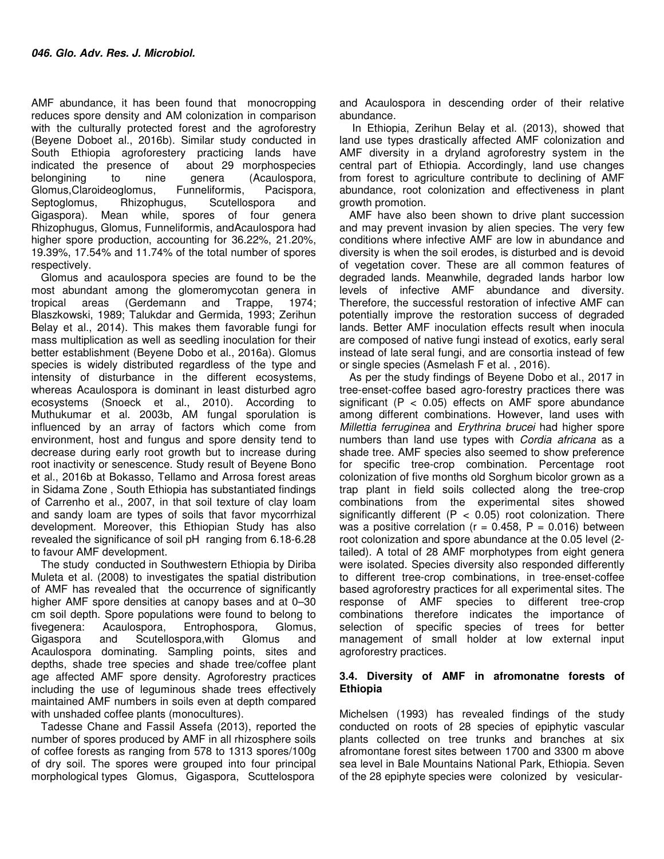AMF abundance, it has been found that monocropping reduces spore density and AM colonization in comparison with the culturally protected forest and the agroforestry (Beyene Doboet al., 2016b). Similar study conducted in South Ethiopia agroforestery practicing lands have indicated the presence of about 29 morphospecies belongining to nine genera (Acaulospora, Glomus,Claroideoglomus, Funneliformis, Pacispora, Septoglomus, Rhizophugus, Scutellospora and Gigaspora). Mean while, spores of four genera Rhizophugus, Glomus, Funneliformis, andAcaulospora had higher spore production, accounting for 36.22%, 21.20%. 19.39%, 17.54% and 11.74% of the total number of spores respectively.

Glomus and acaulospora species are found to be the most abundant among the glomeromycotan genera in tropical areas (Gerdemann and Trappe, 1974; Blaszkowski, 1989; Talukdar and Germida, 1993; Zerihun Belay et al., 2014). This makes them favorable fungi for mass multiplication as well as seedling inoculation for their better establishment (Beyene Dobo et al., 2016a). Glomus species is widely distributed regardless of the type and intensity of disturbance in the different ecosystems, whereas Acaulospora is dominant in least disturbed agro ecosystems (Snoeck et al., 2010). According to Muthukumar et al. 2003b, AM fungal sporulation is influenced by an array of factors which come from environment, host and fungus and spore density tend to decrease during early root growth but to increase during root inactivity or senescence. Study result of Beyene Bono et al., 2016b at Bokasso, Tellamo and Arrosa forest areas in Sidama Zone , South Ethiopia has substantiated findings of Carrenho et al., 2007, in that soil texture of clay loam and sandy loam are types of soils that favor mycorrhizal development. Moreover, this Ethiopian Study has also revealed the significance of soil pH ranging from 6.18-6.28 to favour AMF development.

The study conducted in Southwestern Ethiopia by Diriba Muleta et al. (2008) to investigates the spatial distribution of AMF has revealed that the occurrence of significantly higher AMF spore densities at canopy bases and at 0–30 cm soil depth. Spore populations were found to belong to fivegenera: Acaulospora, Entrophospora, Glomus, Gigaspora and Scutellospora,with Glomus and Acaulospora dominating. Sampling points, sites and depths, shade tree species and shade tree/coffee plant age affected AMF spore density. Agroforestry practices including the use of leguminous shade trees effectively maintained AMF numbers in soils even at depth compared with unshaded coffee plants (monocultures).

Tadesse Chane and Fassil Assefa (2013), reported the number of spores produced by AMF in all rhizosphere soils of coffee forests as ranging from 578 to 1313 spores/100g of dry soil. The spores were grouped into four principal morphological types Glomus, Gigaspora, Scuttelospora and Acaulospora in descending order of their relative abundance.

 In Ethiopia, Zerihun Belay et al. (2013), showed that land use types drastically affected AMF colonization and AMF diversity in a dryland agroforestry system in the central part of Ethiopia. Accordingly, land use changes from forest to agriculture contribute to declining of AMF abundance, root colonization and effectiveness in plant growth promotion.

AMF have also been shown to drive plant succession and may prevent invasion by alien species. The very few conditions where infective AMF are low in abundance and diversity is when the soil erodes, is disturbed and is devoid of vegetation cover. These are all common features of degraded lands. Meanwhile, degraded lands harbor low levels of infective AMF abundance and diversity. Therefore, the successful restoration of infective AMF can potentially improve the restoration success of degraded lands. Better AMF inoculation effects result when inocula are composed of native fungi instead of exotics, early seral instead of late seral fungi, and are consortia instead of few or single species (Asmelash F et al. , 2016).

As per the study findings of Beyene Dobo et al., 2017 in tree-enset-coffee based agro-forestry practices there was significant ( $P < 0.05$ ) effects on AMF spore abundance among different combinations. However, land uses with Millettia ferruginea and Erythrina brucei had higher spore numbers than land use types with Cordia africana as a shade tree. AMF species also seemed to show preference for specific tree-crop combination. Percentage root colonization of five months old Sorghum bicolor grown as a trap plant in field soils collected along the tree-crop combinations from the experimental sites showed significantly different ( $P < 0.05$ ) root colonization. There was a positive correlation ( $r = 0.458$ ,  $P = 0.016$ ) between root colonization and spore abundance at the 0.05 level (2 tailed). A total of 28 AMF morphotypes from eight genera were isolated. Species diversity also responded differently to different tree-crop combinations, in tree-enset-coffee based agroforestry practices for all experimental sites. The response of AMF species to different tree-crop combinations therefore indicates the importance of selection of specific species of trees for better management of small holder at low external input agroforestry practices.

#### **3.4. Diversity of AMF in afromonatne forests of Ethiopia**

Michelsen (1993) has revealed findings of the study conducted on roots of 28 species of epiphytic vascular plants collected on tree trunks and branches at six afromontane forest sites between 1700 and 3300 m above sea level in Bale Mountains National Park, Ethiopia. Seven of the 28 epiphyte species were colonized by vesicular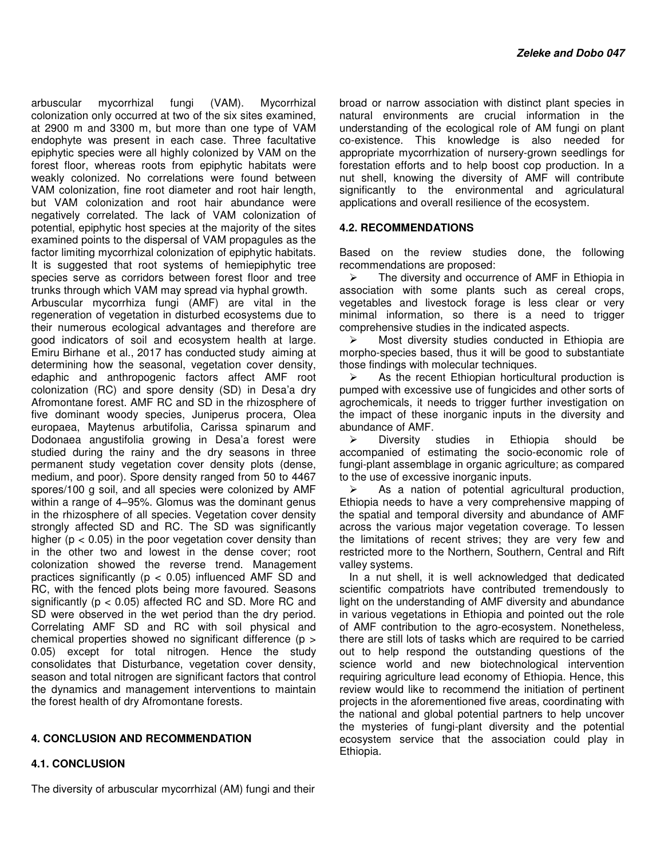arbuscular mycorrhizal fungi (VAM). Mycorrhizal colonization only occurred at two of the six sites examined, at 2900 m and 3300 m, but more than one type of VAM endophyte was present in each case. Three facultative epiphytic species were all highly colonized by VAM on the forest floor, whereas roots from epiphytic habitats were weakly colonized. No correlations were found between VAM colonization, fine root diameter and root hair length, but VAM colonization and root hair abundance were negatively correlated. The lack of VAM colonization of potential, epiphytic host species at the majority of the sites examined points to the dispersal of VAM propagules as the factor limiting mycorrhizal colonization of epiphytic habitats. It is suggested that root systems of hemiepiphytic tree species serve as corridors between forest floor and tree trunks through which VAM may spread via hyphal growth.

Arbuscular mycorrhiza fungi (AMF) are vital in the regeneration of vegetation in disturbed ecosystems due to their numerous ecological advantages and therefore are good indicators of soil and ecosystem health at large. Emiru Birhane et al., 2017 has conducted study aiming at determining how the seasonal, vegetation cover density, edaphic and anthropogenic factors affect AMF root colonization (RC) and spore density (SD) in Desa'a dry Afromontane forest. AMF RC and SD in the rhizosphere of five dominant woody species, Juniperus procera, Olea europaea, Maytenus arbutifolia, Carissa spinarum and Dodonaea angustifolia growing in Desa'a forest were studied during the rainy and the dry seasons in three permanent study vegetation cover density plots (dense, medium, and poor). Spore density ranged from 50 to 4467 spores/100 g soil, and all species were colonized by AMF within a range of 4–95%. Glomus was the dominant genus in the rhizosphere of all species. Vegetation cover density strongly affected SD and RC. The SD was significantly higher ( $p < 0.05$ ) in the poor vegetation cover density than in the other two and lowest in the dense cover; root colonization showed the reverse trend. Management practices significantly ( $p < 0.05$ ) influenced AMF SD and RC, with the fenced plots being more favoured. Seasons significantly ( $p < 0.05$ ) affected RC and SD. More RC and SD were observed in the wet period than the dry period. Correlating AMF SD and RC with soil physical and chemical properties showed no significant difference (p > 0.05) except for total nitrogen. Hence the study consolidates that Disturbance, vegetation cover density, season and total nitrogen are significant factors that control the dynamics and management interventions to maintain the forest health of dry Afromontane forests.

### **4. CONCLUSION AND RECOMMENDATION**

#### **4.1. CONCLUSION**

broad or narrow association with distinct plant species in natural environments are crucial information in the understanding of the ecological role of AM fungi on plant co-existence. This knowledge is also needed for appropriate mycorrhization of nursery-grown seedlings for forestation efforts and to help boost cop production. In a nut shell, knowing the diversity of AMF will contribute significantly to the environmental and agriculatural applications and overall resilience of the ecosystem.

#### **4.2. RECOMMENDATIONS**

Based on the review studies done, the following recommendations are proposed:

> The diversity and occurrence of AMF in Ethiopia in association with some plants such as cereal crops, vegetables and livestock forage is less clear or very minimal information, so there is a need to trigger comprehensive studies in the indicated aspects.

 $\triangleright$  Most diversity studies conducted in Ethiopia are morpho-species based, thus it will be good to substantiate those findings with molecular techniques.

 As the recent Ethiopian horticultural production is pumped with excessive use of fungicides and other sorts of agrochemicals, it needs to trigger further investigation on the impact of these inorganic inputs in the diversity and abundance of AMF.

 $\triangleright$  Diversity studies in Ethiopia should be accompanied of estimating the socio-economic role of fungi-plant assemblage in organic agriculture; as compared to the use of excessive inorganic inputs.

 $\triangleright$  As a nation of potential agricultural production, Ethiopia needs to have a very comprehensive mapping of the spatial and temporal diversity and abundance of AMF across the various major vegetation coverage. To lessen the limitations of recent strives; they are very few and restricted more to the Northern, Southern, Central and Rift valley systems.

In a nut shell, it is well acknowledged that dedicated scientific compatriots have contributed tremendously to light on the understanding of AMF diversity and abundance in various vegetations in Ethiopia and pointed out the role of AMF contribution to the agro-ecosystem. Nonetheless, there are still lots of tasks which are required to be carried out to help respond the outstanding questions of the science world and new biotechnological intervention requiring agriculture lead economy of Ethiopia. Hence, this review would like to recommend the initiation of pertinent projects in the aforementioned five areas, coordinating with the national and global potential partners to help uncover the mysteries of fungi-plant diversity and the potential ecosystem service that the association could play in Ethiopia.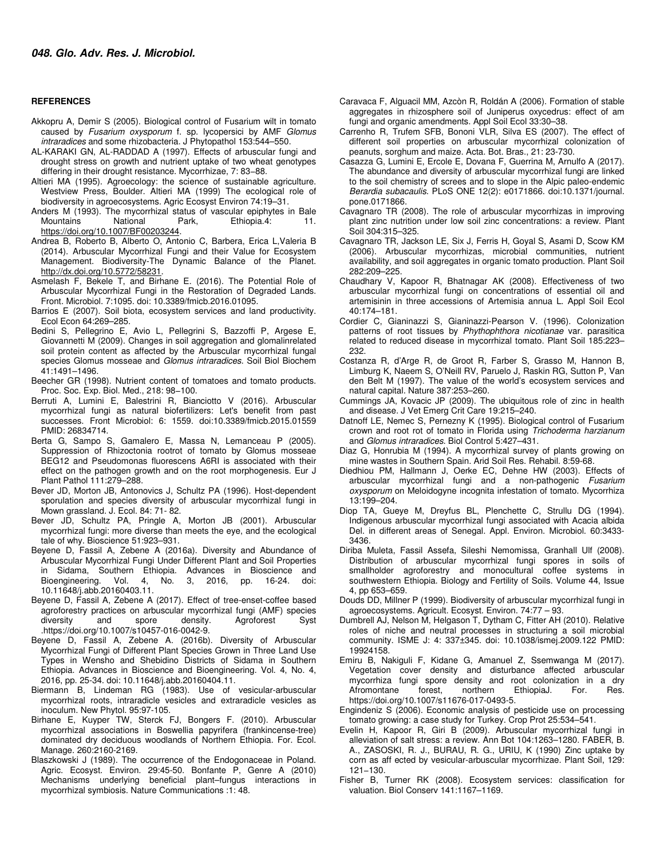#### **REFERENCES**

- Akkopru A, Demir S (2005). Biological control of Fusarium wilt in tomato caused by Fusarium oxysporum f. sp. lycopersici by AMF Glomus intraradices and some rhizobacteria. J Phytopathol 153:544–550.
- AL-KARAKI GN, AL-RADDAD A (1997). Effects of arbuscular fungi and drought stress on growth and nutrient uptake of two wheat genotypes differing in their drought resistance. Mycorrhizae, 7: 83−88.
- Altieri MA (1995). Agroecology: the science of sustainable agriculture. Westview Press, Boulder. Altieri MA (1999) The ecological role of biodiversity in agroecosystems. Agric Ecosyst Environ 74:19–31.
- Anders M (1993). The mycorrhizal status of vascular epiphytes in Bale Mountains National Park, Ethiopia.4: 11. https://doi.org/10.1007/BF00203244.
- Andrea B, Roberto B, Alberto O, Antonio C, Barbera, Erica L,Valeria B (2014). Arbuscular Mycorrhizal Fungi and their Value for Ecosystem Management. Biodiversity-The Dynamic Balance of the Planet. http://dx.doi.org/10.5772/58231.
- Asmelash F, Bekele T, and Birhane E. (2016). The Potential Role of Arbuscular Mycorrhizal Fungi in the Restoration of Degraded Lands. Front. Microbiol. 7:1095. doi: 10.3389/fmicb.2016.01095.
- Barrios E (2007). Soil biota, ecosystem services and land productivity. Ecol Econ 64:269–285.
- Bedini S, Pellegrino E, Avio L, Pellegrini S, Bazzoffi P, Argese E, Giovannetti M (2009). Changes in soil aggregation and glomalinrelated soil protein content as affected by the Arbuscular mycorrhizal fungal species Glomus mosseae and Glomus intraradices. Soil Biol Biochem 41:1491–1496.
- Beecher GR (1998). Nutrient content of tomatoes and tomato products. Proc. Soc. Exp. Biol. Med., 218: 98−100.
- Berruti A, Lumini E, Balestrini R, Bianciotto V (2016). Arbuscular mycorrhizal fungi as natural biofertilizers: Let's benefit from past successes. Front Microbiol: 6: 1559. doi:10.3389/fmicb.2015.01559 PMID: 26834714.
- Berta G, Sampo S, Gamalero E, Massa N, Lemanceau P (2005). Suppression of Rhizoctonia rootrot of tomato by Glomus mosseae BEG12 and Pseudomonas fluorescens A6RI is associated with their effect on the pathogen growth and on the root morphogenesis. Eur J Plant Pathol 111:279–288.
- Bever JD, Morton JB, Antonovics J, Schultz PA (1996). Host-dependent sporulation and species diversity of arbuscular mycorrhizal fungi in Mown grassland. J. Ecol. 84: 71- 82.
- Bever JD, Schultz PA, Pringle A, Morton JB (2001). Arbuscular mycorrhizal fungi: more diverse than meets the eye, and the ecological tale of why. Bioscience 51:923–931.
- Beyene D, Fassil A, Zebene A (2016a). Diversity and Abundance of Arbuscular Mycorrhizal Fungi Under Different Plant and Soil Properties in Sidama, Southern Ethiopia. Advances in Bioscience and Bioengineering. Vol. 4, No. 3, 2016, pp. 16-24. doi: 10.11648/j.abb.20160403.11.
- Beyene D, Fassil A, Zebene A (2017). Effect of tree-enset-coffee based agroforestry practices on arbuscular mycorrhizal fungi (AMF) species diversity and spore density. Agroforest Syst .https://doi.org/10.1007/s10457-016-0042-9.
- Beyene D, Fassil A, Zebene A. (2016b). Diversity of Arbuscular Mycorrhizal Fungi of Different Plant Species Grown in Three Land Use Types in Wensho and Shebidino Districts of Sidama in Southern Ethiopia. Advances in Bioscience and Bioengineering. Vol. 4, No. 4, 2016, pp. 25-34. doi: 10.11648/j.abb.20160404.11.
- Biermann B, Lindeman RG (1983). Use of vesicular-arbuscular mycorrhizal roots, intraradicle vesicles and extraradicle vesicles as inoculum. New Phytol. 95:97-105.
- Birhane E, Kuyper TW, Sterck FJ, Bongers F. (2010). Arbuscular mycorrhizal associations in Boswellia papyrifera (frankincense-tree) dominated dry deciduous woodlands of Northern Ethiopia. For. Ecol. Manage. 260:2160-2169.
- Blaszkowski J (1989). The occurrence of the Endogonaceae in Poland. Agric. Ecosyst. Environ. 29:45-50. Bonfante P, Genre A (2010) Mechanisms underlying beneficial plant–fungus interactions in mycorrhizal symbiosis. Nature Communications :1: 48.
- Caravaca F, Alguacil MM, Azcòn R, Roldán A (2006). Formation of stable aggregates in rhizosphere soil of Juniperus oxycedrus: effect of am fungi and organic amendments. Appl Soil Ecol 33:30–38.
- Carrenho R, Trufem SFB, Bononi VLR, Silva ES (2007). The effect of different soil properties on arbuscular mycorrhizal colonization of peanuts, sorghum and maize. Acta. Bot. Bras., 21: 23-730.
- Casazza G, Lumini E, Ercole E, Dovana F, Guerrina M, Arnulfo A (2017). The abundance and diversity of arbuscular mycorrhizal fungi are linked to the soil chemistry of screes and to slope in the Alpic paleo-endemic Berardia subacaulis. PLoS ONE 12(2): e0171866. doi:10.1371/journal. pone.0171866.
- Cavagnaro TR (2008). The role of arbuscular mycorrhizas in improving plant zinc nutrition under low soil zinc concentrations: a review. Plant Soil 304:315–325.
- Cavagnaro TR, Jackson LE, Six J, Ferris H, Goyal S, Asami D, Scow KM (2006). Arbuscular mycorrhizas, microbial communities, nutrient availability, and soil aggregates in organic tomato production. Plant Soil 282:209–225.
- Chaudhary V, Kapoor R, Bhatnagar AK (2008). Effectiveness of two arbuscular mycorrhizal fungi on concentrations of essential oil and artemisinin in three accessions of Artemisia annua L. Appl Soil Ecol 40:174–181.
- Cordier C, Gianinazzi S, Gianinazzi-Pearson V. (1996). Colonization patterns of root tissues by Phythophthora nicotianae var. parasitica related to reduced disease in mycorrhizal tomato. Plant Soil 185:223– 232.
- Costanza R, d'Arge R, de Groot R, Farber S, Grasso M, Hannon B, Limburg K, Naeem S, O'Neill RV, Paruelo J, Raskin RG, Sutton P, Van den Belt M (1997). The value of the world's ecosystem services and natural capital. Nature 387:253–260.
- Cummings JA, Kovacic JP (2009). The ubiquitous role of zinc in health and disease. J Vet Emerg Crit Care 19:215–240.
- Datnoff LE, Nemec S, Pernezny K (1995). Biological control of Fusarium crown and root rot of tomato in Florida using Trichoderma harzianum and Glomus intraradices. Biol Control 5:427–431.
- Diaz G, Honrubia M (1994). A mycorrhizal survey of plants growing on mine wastes in Southern Spain. Arid Soil Res. Rehabil. 8:59-68.
- Diedhiou PM, Hallmann J, Oerke EC, Dehne HW (2003). Effects of arbuscular mycorrhizal fungi and a non-pathogenic Fusarium oxysporum on Meloidogyne incognita infestation of tomato. Mycorrhiza 13:199–204.
- Diop TA, Gueye M, Dreyfus BL, Plenchette C, Strullu DG (1994). Indigenous arbuscular mycorrhizal fungi associated with Acacia albida Del. in different areas of Senegal. Appl. Environ. Microbiol. 60:3433- 3436.
- Diriba Muleta, Fassil Assefa, Sileshi Nemomissa, Granhall Ulf (2008). Distribution of arbuscular mycorrhizal fungi spores in soils of smallholder agroforestry and monocultural coffee systems in southwestern Ethiopia. Biology and Fertility of Soils. Volume 44, Issue 4, pp 653–659.
- Douds DD, Millner P (1999). Biodiversity of arbuscular mycorrhizal fungi in agroecosystems. Agricult. Ecosyst. Environ. 74:77 – 93.
- Dumbrell AJ, Nelson M, Helgason T, Dytham C, Fitter AH (2010). Relative roles of niche and neutral processes in structuring a soil microbial community. ISME J: 4: 337±345. doi: 10.1038/ismej.2009.122 PMID: 19924158.
- Emiru B, Nakiguli F, Kidane G, Amanuel Z, Ssemwanga M (2017). Vegetation cover density and disturbance affected arbuscular mycorrhiza fungi spore density and root colonization in a dry<br>Afromontane b forest, cnorthern EthiopiaJ. For. Res. Afromontane https://doi.org/10.1007/s11676-017-0493-5.
- Engindeniz S (2006). Economic analysis of pesticide use on processing tomato growing: a case study for Turkey. Crop Prot 25:534–541.
- Evelin H, Kapoor R, Giri B (2009). Arbuscular mycorrhizal fungi in alleviation of salt stress: a review. Ann Bot 104:1263–1280. FABER, B. A., ZASOSKI, R. J., BURAU, R. G., URIU, K (1990) Zinc uptake by corn as aff ected by vesicular-arbuscular mycorrhizae. Plant Soil, 129: 121−130.
- Fisher B, Turner RK (2008). Ecosystem services: classification for valuation. Biol Conserv 141:1167–1169.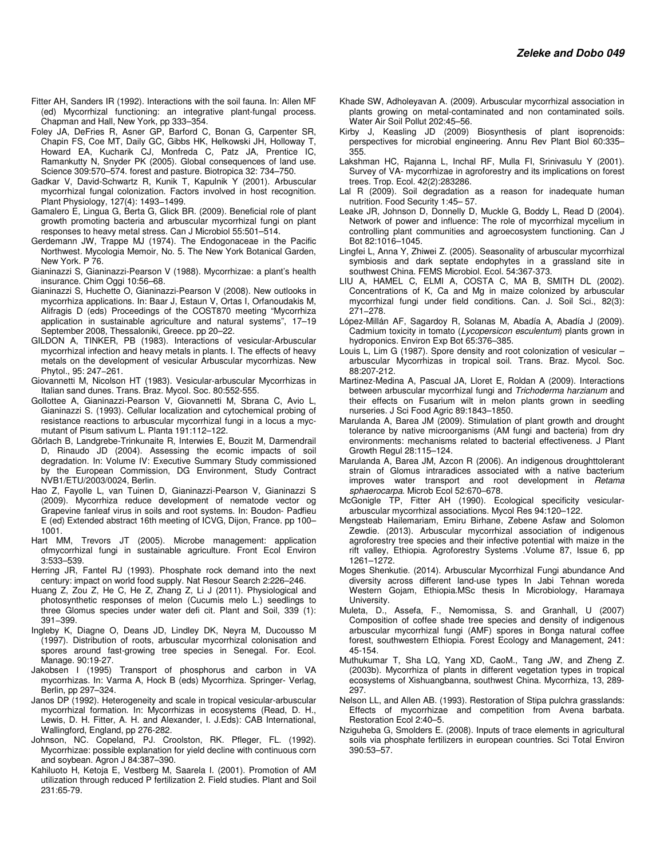- Fitter AH, Sanders IR (1992). Interactions with the soil fauna. In: Allen MF (ed) Mycorrhizal functioning: an integrative plant-fungal process. Chapman and Hall, New York, pp 333–354.
- Foley JA, DeFries R, Asner GP, Barford C, Bonan G, Carpenter SR, Chapin FS, Coe MT, Daily GC, Gibbs HK, Helkowski JH, Holloway T, Howard EA, Kucharik CJ, Monfreda C, Patz JA, Prentice IC, Ramankutty N, Snyder PK (2005). Global consequences of land use. Science 309:570–574. forest and pasture. Biotropica 32: 734–750.
- Gadkar V, David-Schwartz R, Kunik T, Kapulnik Y (2001). Arbuscular mycorrhizal fungal colonization. Factors involved in host recognition. Plant Physiology, 127(4): 1493−1499.
- Gamalero E, Lingua G, Berta G, Glick BR. (2009). Beneficial role of plant growth promoting bacteria and arbuscular mycorrhizal fungi on plant responses to heavy metal stress. Can J Microbiol 55:501–514.
- Gerdemann JW, Trappe MJ (1974). The Endogonaceae in the Pacific Northwest. Mycologia Memoir, No. 5. The New York Botanical Garden, New York. P 76.
- Gianinazzi S, Gianinazzi-Pearson V (1988). Mycorrhizae: a plant's health insurance. Chim Oggi 10:56–68.
- Gianinazzi S, Huchette O, Gianinazzi-Pearson V (2008). New outlooks in mycorrhiza applications. In: Baar J, Estaun V, Ortas I, Orfanoudakis M, Alifragis D (eds) Proceedings of the COST870 meeting "Mycorrhiza application in sustainable agriculture and natural systems", 17–19 September 2008, Thessaloniki, Greece. pp 20–22.
- GILDON A, TINKER, PB (1983). Interactions of vesicular-Arbuscular mycorrhizal infection and heavy metals in plants. I. The effects of heavy metals on the development of vesicular Arbuscular mycorrhizas. New Phytol., 95: 247−261.
- Giovannetti M, Nicolson HT (1983). Vesicular-arbuscular Mycorrhizas in Italian sand dunes. Trans. Braz. Mycol. Soc. 80:552-555.
- Gollottee A, Gianinazzi-Pearson V, Giovannetti M, Sbrana C, Avio L, Gianinazzi S. (1993). Cellular localization and cytochemical probing of resistance reactions to arbuscular mycorrhizal fungi in a locus a mycmutant of Pisum sativum L. Planta 191:112–122.
- Görlach B, Landgrebe-Trinkunaite R, Interwies E, Bouzit M, Darmendrail D, Rinaudo JD (2004). Assessing the ecomic impacts of soil degradation. In: Volume IV: Executive Summary Study commissioned by the European Commission, DG Environment, Study Contract NVB1/ETU/2003/0024, Berlin.
- Hao Z, Fayolle L, van Tuinen D, Gianinazzi-Pearson V, Gianinazzi S (2009). Mycorrhiza reduce development of nematode vector og Grapevine fanleaf virus in soils and root systems. In: Boudon- Padfieu E (ed) Extended abstract 16th meeting of ICVG, Dijon, France. pp 100– 1001.
- Hart MM, Trevors JT (2005). Microbe management: application ofmycorrhizal fungi in sustainable agriculture. Front Ecol Environ 3:533–539.
- Herring JR, Fantel RJ (1993). Phosphate rock demand into the next century: impact on world food supply. Nat Resour Search 2:226–246.
- Huang Z, Zou Z, He C, He Z, Zhang Z, Li J (2011). Physiological and photosynthetic responses of melon (Cucumis melo L.) seedlings to three Glomus species under water defi cit. Plant and Soil, 339 (1): 391−399.
- Ingleby K, Diagne O, Deans JD, Lindley DK, Neyra M, Ducousso M (1997). Distribution of roots, arbuscular mycorrhizal colonisation and spores around fast-growing tree species in Senegal. For. Ecol. Manage. 90:19-27.
- Jakobsen I (1995) Transport of phosphorus and carbon in VA mycorrhizas. In: Varma A, Hock B (eds) Mycorrhiza. Springer- Verlag, Berlin, pp 297–324.
- Janos DP (1992). Heterogeneity and scale in tropical vesicular-arbuscular mycorrhizal formation. In: Mycorrhizas in ecosystems (Read, D. H., Lewis, D. H. Fitter, A. H. and Alexander, I. J.Eds): CAB International, Wallingford, England, pp 276-282.
- Johnson, NC. Copeland, PJ. Croolston, RK. Pfleger, FL. (1992). Mycorrhizae: possible explanation for yield decline with continuous corn and soybean. Agron J 84:387–390.
- Kahiluoto H, Ketoja E, Vestberg M, Saarela I. (2001). Promotion of AM utilization through reduced P fertilization 2. Field studies. Plant and Soil 231:65-79.
- Khade SW, Adholeyavan A. (2009). Arbuscular mycorrhizal association in plants growing on metal-contaminated and non contaminated soils. Water Air Soil Pollut 202:45–56.
- Kirby J, Keasling JD (2009) Biosynthesis of plant isoprenoids: perspectives for microbial engineering. Annu Rev Plant Biol 60:335– 355.
- Lakshman HC, Rajanna L, Inchal RF, Mulla FI, Srinivasulu Y (2001). Survey of VA- mycorrhizae in agroforestry and its implications on forest trees. Trop. Ecol. 42(2):283286.
- Lal R (2009). Soil degradation as a reason for inadequate human nutrition. Food Security 1:45– 57.
- Leake JR, Johnson D, Donnelly D, Muckle G, Boddy L, Read D (2004). Network of power and influence: The role of mycorrhizal mycelium in controlling plant communities and agroecosystem functioning. Can J Bot 82:1016–1045.
- Lingfei L, Anna Y, Zhiwei Z. (2005). Seasonality of arbuscular mycorrhizal symbiosis and dark septate endophytes in a grassland site in southwest China. FEMS Microbiol. Ecol. 54:367-373.
- LIU A, HAMEL C, ELMI A, COSTA C, MA B, SMITH DL (2002). Concentrations of K, Ca and Mg in maize colonized by arbuscular mycorrhizal fungi under field conditions. Can. J. Soil Sci., 82(3): 271−278.
- López-Millán AF, Sagardoy R, Solanas M, Abadía A, Abadía J (2009). Cadmium toxicity in tomato (Lycopersicon esculentum) plants grown in hydroponics. Environ Exp Bot 65:376–385.
- Louis L, Lim G (1987). Spore density and root colonization of vesicular arbuscular Mycorrhizas in tropical soil. Trans. Braz. Mycol. Soc. 88:207-212.
- Martinez-Medina A, Pascual JA, Lloret E, Roldan A (2009). Interactions between arbuscular mycorrhizal fungi and Trichoderma harzianum and their effects on Fusarium wilt in melon plants grown in seedling nurseries. J Sci Food Agric 89:1843–1850.
- Marulanda A, Barea JM (2009). Stimulation of plant growth and drought tolerance by native microorganisms (AM fungi and bacteria) from dry environments: mechanisms related to bacterial effectiveness. J Plant Growth Regul 28:115–124.
- Marulanda A, Barea JM, Azcon R (2006). An indigenous droughttolerant strain of Glomus intraradices associated with a native bacterium improves water transport and root development in Retama sphaerocarpa. Microb Ecol 52:670–678.
- McGonigle TP, Fitter AH (1990). Ecological specificity vesiculararbuscular mycorrhizal associations. Mycol Res 94:120–122.
- Mengsteab Hailemariam, Emiru Birhane, Zebene Asfaw and Solomon Zewdie. (2013). Arbuscular mycorrhizal association of indigenous agroforestry tree species and their infective potential with maize in the rift valley, Ethiopia. Agroforestry Systems .Volume 87, Issue 6, pp 1261–1272.
- Moges Shenkutie. (2014). Arbuscular Mycorrhizal Fungi abundance And diversity across different land-use types In Jabi Tehnan woreda Western Gojam, Ethiopia.MSc thesis In Microbiology, Haramaya University.
- Muleta, D., Assefa, F., Nemomissa, S. and Granhall, U (2007) Composition of coffee shade tree species and density of indigenous arbuscular mycorrhizal fungi (AMF) spores in Bonga natural coffee forest, southwestern Ethiopia. Forest Ecology and Management, 241: 45-154.
- Muthukumar T, Sha LQ, Yang XD, CaoM., Tang JW, and Zheng Z. (2003b). Mycorrhiza of plants in different vegetation types in tropical ecosystems of Xishuangbanna, southwest China. Mycorrhiza, 13, 289- 297.
- Nelson LL, and Allen AB. (1993). Restoration of Stipa pulchra grasslands: Effects of mycorrhizae and competition from Avena barbata. Restoration Ecol 2:40–5.
- Nziguheba G, Smolders E. (2008). Inputs of trace elements in agricultural soils via phosphate fertilizers in european countries. Sci Total Environ 390:53–57.